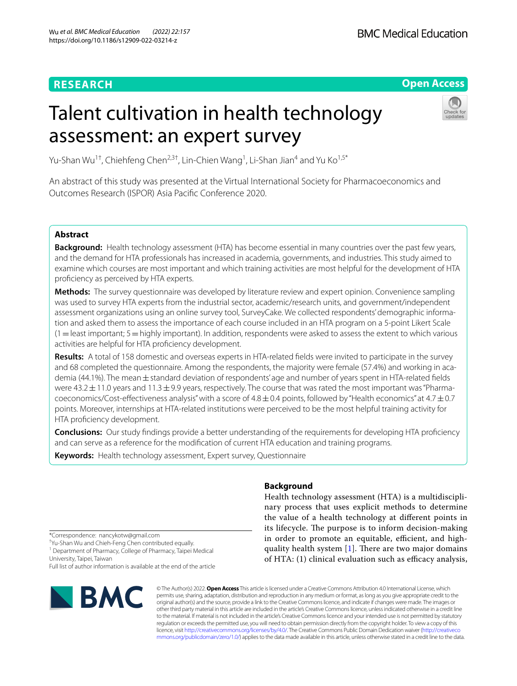# **RESEARCH**

## **Open Access**

# Talent cultivation in health technology assessment: an expert survey



Yu-Shan Wu<sup>1†</sup>, Chiehfeng Chen<sup>2,3†</sup>, Lin-Chien Wang<sup>1</sup>, Li-Shan Jian<sup>4</sup> and Yu Ko<sup>1,5\*</sup>

An abstract of this study was presented at the Virtual International Society for Pharmacoeconomics and Outcomes Research (ISPOR) Asia Pacifc Conference 2020.

## **Abstract**

**Background:** Health technology assessment (HTA) has become essential in many countries over the past few years, and the demand for HTA professionals has increased in academia, governments, and industries. This study aimed to examine which courses are most important and which training activities are most helpful for the development of HTA proficiency as perceived by HTA experts.

**Methods:** The survey questionnaire was developed by literature review and expert opinion. Convenience sampling was used to survey HTA experts from the industrial sector, academic/research units, and government/independent assessment organizations using an online survey tool, SurveyCake. We collected respondents' demographic information and asked them to assess the importance of each course included in an HTA program on a 5-point Likert Scale  $(1=$  least important;  $5=$  highly important). In addition, respondents were asked to assess the extent to which various activities are helpful for HTA profciency development.

**Results:** A total of 158 domestic and overseas experts in HTA-related felds were invited to participate in the survey and 68 completed the questionnaire. Among the respondents, the majority were female (57.4%) and working in academia (44.1%). The mean ± standard deviation of respondents' age and number of years spent in HTA-related fields were 43.2 $\pm$ 11.0 years and 11.3 $\pm$ 9.9 years, respectively. The course that was rated the most important was "Pharmacoeconomics/Cost-effectiveness analysis" with a score of  $4.8 \pm 0.4$  points, followed by "Health economics" at  $4.7 \pm 0.7$ points. Moreover, internships at HTA-related institutions were perceived to be the most helpful training activity for HTA proficiency development.

**Conclusions:** Our study fndings provide a better understanding of the requirements for developing HTA profciency and can serve as a reference for the modifcation of current HTA education and training programs.

**Keywords:** Health technology assessment, Expert survey, Questionnaire

## **Background**

Health technology assessment (HTA) is a multidisciplinary process that uses explicit methods to determine the value of a health technology at diferent points in its lifecycle. The purpose is to inform decision-making in order to promote an equitable, efficient, and highquality health system  $[1]$  $[1]$ . There are two major domains of HTA: (1) clinical evaluation such as efficacy analysis,

\*Correspondence: nancykotw@gmail.com

† Yu-Shan Wu and Chieh-Feng Chen contributed equally.

<sup>1</sup> Department of Pharmacy, College of Pharmacy, Taipei Medical University, Taipei, Taiwan

Full list of author information is available at the end of the article



© The Author(s) 2022. **Open Access** This article is licensed under a Creative Commons Attribution 4.0 International License, which permits use, sharing, adaptation, distribution and reproduction in any medium or format, as long as you give appropriate credit to the original author(s) and the source, provide a link to the Creative Commons licence, and indicate if changes were made. The images or other third party material in this article are included in the article's Creative Commons licence, unless indicated otherwise in a credit line to the material. If material is not included in the article's Creative Commons licence and your intended use is not permitted by statutory regulation or exceeds the permitted use, you will need to obtain permission directly from the copyright holder. To view a copy of this licence, visit [http://creativecommons.org/licenses/by/4.0/.](http://creativecommons.org/licenses/by/4.0/) The Creative Commons Public Domain Dedication waiver ([http://creativeco](http://creativecommons.org/publicdomain/zero/1.0/) [mmons.org/publicdomain/zero/1.0/](http://creativecommons.org/publicdomain/zero/1.0/)) applies to the data made available in this article, unless otherwise stated in a credit line to the data.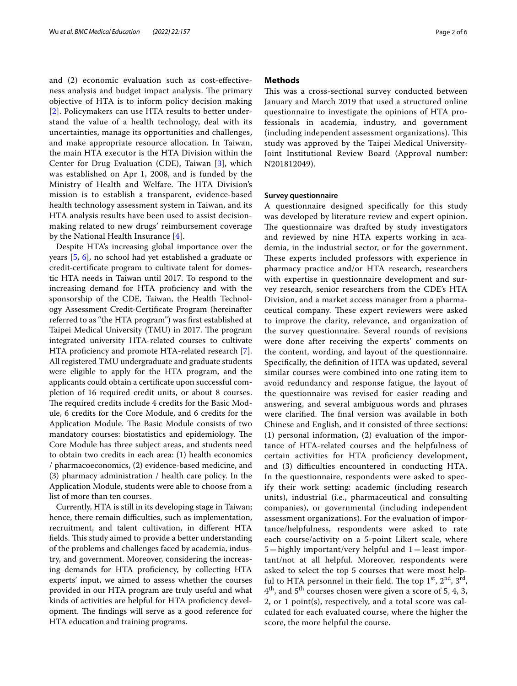and (2) economic evaluation such as cost-efectiveness analysis and budget impact analysis. The primary objective of HTA is to inform policy decision making [[2](#page-5-1)]. Policymakers can use HTA results to better understand the value of a health technology, deal with its uncertainties, manage its opportunities and challenges, and make appropriate resource allocation. In Taiwan, the main HTA executor is the HTA Division within the Center for Drug Evaluation (CDE), Taiwan [[3\]](#page-5-2), which was established on Apr 1, 2008, and is funded by the Ministry of Health and Welfare. The HTA Division's mission is to establish a transparent, evidence-based health technology assessment system in Taiwan, and its HTA analysis results have been used to assist decisionmaking related to new drugs' reimbursement coverage by the National Health Insurance [[4](#page-5-3)].

Despite HTA's increasing global importance over the years [\[5](#page-5-4), [6\]](#page-5-5), no school had yet established a graduate or credit-certifcate program to cultivate talent for domestic HTA needs in Taiwan until 2017. To respond to the increasing demand for HTA proficiency and with the sponsorship of the CDE, Taiwan, the Health Technology Assessment Credit-Certifcate Program (hereinafter referred to as "the HTA program") was frst established at Taipei Medical University (TMU) in 2017. The program integrated university HTA-related courses to cultivate HTA profciency and promote HTA-related research [\[7](#page-5-6)]. All registered TMU undergraduate and graduate students were eligible to apply for the HTA program, and the applicants could obtain a certifcate upon successful completion of 16 required credit units, or about 8 courses. The required credits include 4 credits for the Basic Module, 6 credits for the Core Module, and 6 credits for the Application Module. The Basic Module consists of two mandatory courses: biostatistics and epidemiology. The Core Module has three subject areas, and students need to obtain two credits in each area: (1) health economics / pharmacoeconomics, (2) evidence-based medicine, and (3) pharmacy administration / health care policy. In the Application Module, students were able to choose from a list of more than ten courses.

Currently, HTA is still in its developing stage in Taiwan; hence, there remain difficulties, such as implementation, recruitment, and talent cultivation, in diferent HTA fields. This study aimed to provide a better understanding of the problems and challenges faced by academia, industry, and government. Moreover, considering the increasing demands for HTA proficiency, by collecting HTA experts' input, we aimed to assess whether the courses provided in our HTA program are truly useful and what kinds of activities are helpful for HTA profciency development. The findings will serve as a good reference for HTA education and training programs.

## **Methods**

This was a cross-sectional survey conducted between January and March 2019 that used a structured online questionnaire to investigate the opinions of HTA professionals in academia, industry, and government (including independent assessment organizations). This study was approved by the Taipei Medical University-Joint Institutional Review Board (Approval number: N201812049).

#### **Survey questionnaire**

A questionnaire designed specifcally for this study was developed by literature review and expert opinion. The questionnaire was drafted by study investigators and reviewed by nine HTA experts working in academia, in the industrial sector, or for the government. These experts included professors with experience in pharmacy practice and/or HTA research, researchers with expertise in questionnaire development and survey research, senior researchers from the CDE's HTA Division, and a market access manager from a pharmaceutical company. These expert reviewers were asked to improve the clarity, relevance, and organization of the survey questionnaire. Several rounds of revisions were done after receiving the experts' comments on the content, wording, and layout of the questionnaire. Specifcally, the defnition of HTA was updated, several similar courses were combined into one rating item to avoid redundancy and response fatigue, the layout of the questionnaire was revised for easier reading and answering, and several ambiguous words and phrases were clarified. The final version was available in both Chinese and English, and it consisted of three sections: (1) personal information, (2) evaluation of the importance of HTA-related courses and the helpfulness of certain activities for HTA proficiency development, and (3) difficulties encountered in conducting HTA. In the questionnaire, respondents were asked to specify their work setting: academic (including research units), industrial (i.e., pharmaceutical and consulting companies), or governmental (including independent assessment organizations). For the evaluation of importance/helpfulness, respondents were asked to rate each course/activity on a 5-point Likert scale, where  $5 =$ highly important/very helpful and  $1 =$  least important/not at all helpful. Moreover, respondents were asked to select the top 5 courses that were most helpful to HTA personnel in their field. The top  $1<sup>st</sup>$ ,  $2<sup>nd</sup>$ ,  $3<sup>rd</sup>$ , 4th, and 5th courses chosen were given a score of 5, 4, 3, 2, or 1 point(s), respectively, and a total score was calculated for each evaluated course, where the higher the score, the more helpful the course.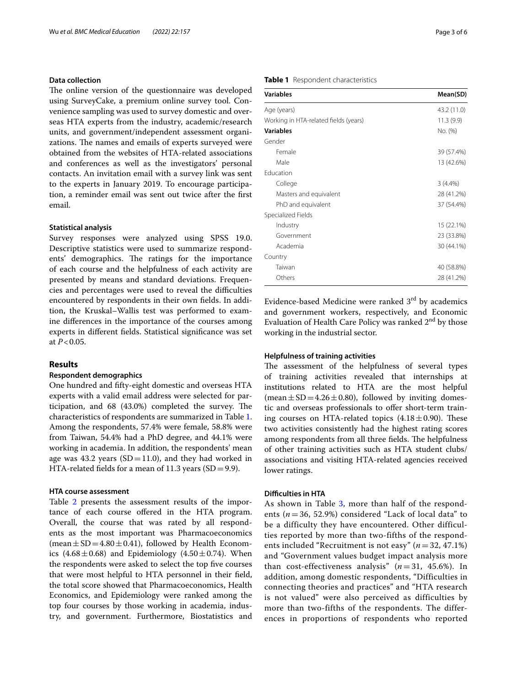## **Data collection**

The online version of the questionnaire was developed using SurveyCake, a premium online survey tool. Convenience sampling was used to survey domestic and overseas HTA experts from the industry, academic/research units, and government/independent assessment organizations. The names and emails of experts surveyed were obtained from the websites of HTA-related associations and conferences as well as the investigators' personal contacts. An invitation email with a survey link was sent to the experts in January 2019. To encourage participation, a reminder email was sent out twice after the frst email.

#### **Statistical analysis**

Survey responses were analyzed using SPSS 19.0. Descriptive statistics were used to summarize respondents' demographics. The ratings for the importance of each course and the helpfulness of each activity are presented by means and standard deviations. Frequencies and percentages were used to reveal the difficulties encountered by respondents in their own felds. In addition, the Kruskal–Wallis test was performed to examine diferences in the importance of the courses among experts in diferent felds. Statistical signifcance was set at *P*<0.05.

## **Results**

## **Respondent demographics**

One hundred and ffty-eight domestic and overseas HTA experts with a valid email address were selected for participation, and  $68$   $(43.0%)$  completed the survey. The characteristics of respondents are summarized in Table [1](#page-2-0). Among the respondents, 57.4% were female, 58.8% were from Taiwan, 54.4% had a PhD degree, and 44.1% were working in academia. In addition, the respondents' mean age was 43.2 years  $(SD=11.0)$ , and they had worked in HTA-related fields for a mean of 11.3 years  $(SD=9.9)$ .

## **HTA course assessment**

Table [2](#page-3-0) presents the assessment results of the importance of each course ofered in the HTA program. Overall, the course that was rated by all respondents as the most important was Pharmacoeconomics (mean  $\pm$  SD = 4.80  $\pm$  0.41), followed by Health Economics  $(4.68 \pm 0.68)$  and Epidemiology  $(4.50 \pm 0.74)$ . When the respondents were asked to select the top fve courses that were most helpful to HTA personnel in their feld, the total score showed that Pharmacoeconomics, Health Economics, and Epidemiology were ranked among the top four courses by those working in academia, industry, and government. Furthermore, Biostatistics and

## <span id="page-2-0"></span>**Table 1** Respondent characteristics

| <b>Variables</b>                      | Mean(SD)    |
|---------------------------------------|-------------|
| Age (years)                           | 43.2 (11.0) |
| Working in HTA-related fields (years) | 11.3(9.9)   |
| <b>Variables</b>                      | No. (%)     |
| Gender                                |             |
| Female                                | 39 (57.4%)  |
| Male                                  | 13 (42.6%)  |
| Education                             |             |
| College                               | $3(4.4\%)$  |
| Masters and equivalent                | 28 (41.2%)  |
| PhD and equivalent                    | 37 (54.4%)  |
| Specialized Fields                    |             |
| Industry                              | 15 (22.1%)  |
| Government                            | 23 (33.8%)  |
| Academia                              | 30 (44.1%)  |
| Country                               |             |
| Taiwan                                | 40 (58.8%)  |
| Others                                | 28 (41.2%)  |
|                                       |             |

Evidence-based Medicine were ranked  $3<sup>rd</sup>$  by academics and government workers, respectively, and Economic Evaluation of Health Care Policy was ranked  $2<sup>nd</sup>$  by those working in the industrial sector.

## **Helpfulness of training activities**

The assessment of the helpfulness of several types of training activities revealed that internships at institutions related to HTA are the most helpful (mean  $\pm$  SD = 4.26  $\pm$  0.80), followed by inviting domestic and overseas professionals to offer short-term training courses on HTA-related topics  $(4.18 \pm 0.90)$ . These two activities consistently had the highest rating scores among respondents from all three fields. The helpfulness of other training activities such as HTA student clubs/ associations and visiting HTA-related agencies received lower ratings.

#### **Difculties in HTA**

As shown in Table [3,](#page-3-1) more than half of the respondents  $(n=36, 52.9\%)$  considered "Lack of local data" to be a difficulty they have encountered. Other difficulties reported by more than two-fifths of the respondents included "Recruitment is not easy" (*n* = 32, 47.1%) and "Government values budget impact analysis more than cost-effectiveness analysis"  $(n=31, 45.6\%)$ . In addition, among domestic respondents, "Difficulties in connecting theories and practices" and "HTA research is not valued" were also perceived as difficulties by more than two-fifths of the respondents. The differences in proportions of respondents who reported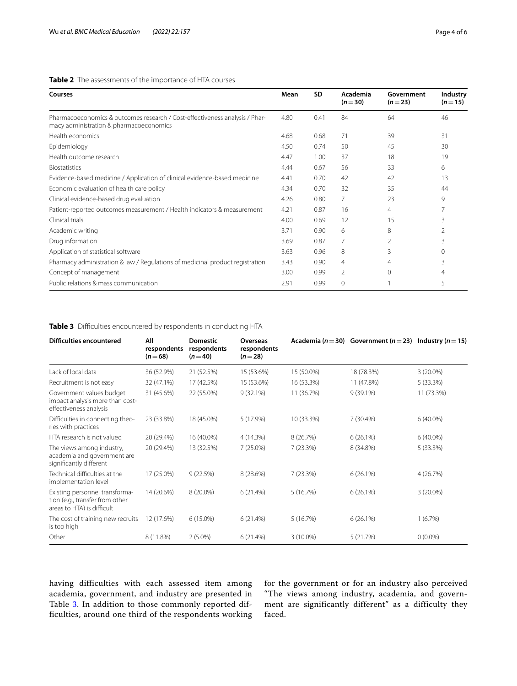## <span id="page-3-0"></span>**Table 2** The assessments of the importance of HTA courses

| Courses                                                                                                                | Mean | <b>SD</b> | Academia<br>$(n=30)$ | Government<br>$(n=23)$ | Industry<br>$(n=15)$ |
|------------------------------------------------------------------------------------------------------------------------|------|-----------|----------------------|------------------------|----------------------|
| Pharmacoeconomics & outcomes research / Cost-effectiveness analysis / Phar-<br>macy administration & pharmacoeconomics | 4.80 | 0.41      | 84                   | 64                     | 46                   |
| Health economics                                                                                                       | 4.68 | 0.68      | 71                   | 39                     | 31                   |
| Epidemiology                                                                                                           | 4.50 | 0.74      | 50                   | 45                     | 30                   |
| Health outcome research                                                                                                | 4.47 | 1.00      | 37                   | 18                     | 19                   |
| <b>Biostatistics</b>                                                                                                   | 4.44 | 0.67      | 56                   | 33                     | 6                    |
| Evidence-based medicine / Application of clinical evidence-based medicine                                              | 4.41 | 0.70      | 42                   | 42                     | 13                   |
| Economic evaluation of health care policy                                                                              | 4.34 | 0.70      | 32                   | 35                     | 44                   |
| Clinical evidence-based drug evaluation                                                                                | 4.26 | 0.80      | 7                    | 23                     | 9                    |
| Patient-reported outcomes measurement / Health indicators & measurement                                                |      | 0.87      | 16                   | 4                      |                      |
| Clinical trials                                                                                                        | 4.00 | 0.69      | 12                   | 15                     | 3                    |
| Academic writing                                                                                                       | 3.71 | 0.90      | 6                    | 8                      | $\mathfrak{D}$       |
| Drug information                                                                                                       | 3.69 | 0.87      | 7                    |                        | 3                    |
| Application of statistical software                                                                                    | 3.63 | 0.96      | 8                    | 3                      | 0                    |
| Pharmacy administration & law / Regulations of medicinal product registration                                          | 3.43 | 0.90      | 4                    | 4                      | 3                    |
| Concept of management                                                                                                  | 3.00 | 0.99      | 2                    | $\Omega$               | 4                    |
| Public relations & mass communication                                                                                  | 2.91 | 0.99      | $\Omega$             |                        | 5                    |

## <span id="page-3-1"></span>**Table 3** Difficulties encountered by respondents in conducting HTA

| <b>Difficulties encountered</b>                                                                 | All<br>respondents<br>$(n=68)$ | <b>Domestic</b><br>respondents<br>$(n=40)$ | <b>Overseas</b><br>respondents<br>$(n=28)$ |                           | Academia ( $n = 30$ ) Government ( $n = 23$ ) | Industry ( $n = 15$ ) |  |
|-------------------------------------------------------------------------------------------------|--------------------------------|--------------------------------------------|--------------------------------------------|---------------------------|-----------------------------------------------|-----------------------|--|
| Lack of local data                                                                              | 36 (52.9%)                     | 21 (52.5%)                                 | 15 (53.6%)                                 | 15 (50.0%)                | 18 (78.3%)                                    | $3(20.0\%)$           |  |
| Recruitment is not easy                                                                         | 32 (47.1%)                     | 17 (42.5%)                                 | 15 (53.6%)                                 | 16 (53.3%)<br>11 (47.8%)  |                                               | 5(33.3%)              |  |
| Government values budget<br>impact analysis more than cost-<br>effectiveness analysis           | 31 (45.6%)                     | 22 (55.0%)                                 | $9(32.1\%)$                                | 11 (36.7%)<br>$9(39.1\%)$ |                                               | 11 (73.3%)            |  |
| Difficulties in connecting theo-<br>ries with practices                                         | 23 (33.8%)                     | 18 (45.0%)                                 | 5 (17.9%)                                  | 10 (33.3%)                | 7 (30.4%)                                     | $6(40.0\%)$           |  |
| HTA research is not valued                                                                      | 20 (29.4%)                     | 16 (40.0%)                                 | 4 (14.3%)                                  | 8 (26.7%)                 | 6(26.1%)                                      | $6(40.0\%)$           |  |
| The views among industry,<br>academia and government are<br>significantly different             | 20 (29.4%)                     | 13 (32.5%)                                 | 7 (25.0%)                                  | 7(23.3%)                  | 8 (34.8%)                                     | 5(33.3%)              |  |
| Technical difficulties at the<br>implementation level                                           | 17 (25.0%)                     | 9(22.5%)                                   | 8 (28.6%)                                  | 7(23.3%)<br>$6(26.1\%)$   |                                               | 4(26.7%)              |  |
| Existing personnel transforma-<br>tion (e.g., transfer from other<br>areas to HTA) is difficult | 14 (20.6%)                     | 8 (20.0%)                                  | 6(21.4%)                                   | 5(16.7%)                  | $6(26.1\%)$                                   | $3(20.0\%)$           |  |
| The cost of training new recruits<br>is too high                                                | 12 (17.6%)                     | $6(15.0\%)$                                | 6(21.4%)                                   | 5(16.7%)                  | $6(26.1\%)$                                   | 1(6.7%)               |  |
| Other                                                                                           | 8 (11.8%)                      | $2(5.0\%)$                                 | 6(21.4%)                                   | 3 (10.0%)                 | 5(21.7%)                                      | $0(0.0\%)$            |  |

having difficulties with each assessed item among academia, government, and industry are presented in Table [3.](#page-3-1) In addition to those commonly reported difficulties, around one third of the respondents working for the government or for an industry also perceived "The views among industry, academia, and government are significantly different" as a difficulty they faced.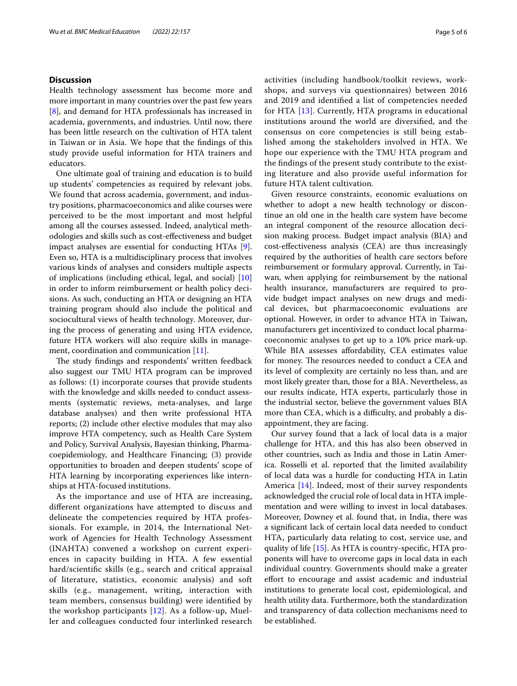## **Discussion**

Health technology assessment has become more and more important in many countries over the past few years [[8\]](#page-5-7), and demand for HTA professionals has increased in academia, governments, and industries. Until now, there has been little research on the cultivation of HTA talent in Taiwan or in Asia. We hope that the fndings of this study provide useful information for HTA trainers and educators.

One ultimate goal of training and education is to build up students' competencies as required by relevant jobs. We found that across academia, government, and industry positions, pharmacoeconomics and alike courses were perceived to be the most important and most helpful among all the courses assessed. Indeed, analytical methodologies and skills such as cost-efectiveness and budget impact analyses are essential for conducting HTAs [\[9](#page-5-8)]. Even so, HTA is a multidisciplinary process that involves various kinds of analyses and considers multiple aspects of implications (including ethical, legal, and social) [[10](#page-5-9)] in order to inform reimbursement or health policy decisions. As such, conducting an HTA or designing an HTA training program should also include the political and sociocultural views of health technology. Moreover, during the process of generating and using HTA evidence, future HTA workers will also require skills in manage-ment, coordination and communication [\[11](#page-5-10)].

The study findings and respondents' written feedback also suggest our TMU HTA program can be improved as follows: (1) incorporate courses that provide students with the knowledge and skills needed to conduct assessments (systematic reviews, meta-analyses, and large database analyses) and then write professional HTA reports; (2) include other elective modules that may also improve HTA competency, such as Health Care System and Policy, Survival Analysis, Bayesian thinking, Pharmacoepidemiology, and Healthcare Financing; (3) provide opportunities to broaden and deepen students' scope of HTA learning by incorporating experiences like internships at HTA-focused institutions.

As the importance and use of HTA are increasing, diferent organizations have attempted to discuss and delineate the competencies required by HTA professionals. For example, in 2014, the International Network of Agencies for Health Technology Assessment (INAHTA) convened a workshop on current experiences in capacity building in HTA. A few essential hard/scientifc skills (e.g., search and critical appraisal of literature, statistics, economic analysis) and soft skills (e.g., management, writing, interaction with team members, consensus building) were identifed by the workshop participants  $[12]$  $[12]$ . As a follow-up, Mueller and colleagues conducted four interlinked research activities (including handbook/toolkit reviews, workshops, and surveys via questionnaires) between 2016 and 2019 and identifed a list of competencies needed for HTA [[13](#page-5-12)]. Currently, HTA programs in educational institutions around the world are diversifed, and the consensus on core competencies is still being established among the stakeholders involved in HTA. We hope our experience with the TMU HTA program and the fndings of the present study contribute to the existing literature and also provide useful information for future HTA talent cultivation.

Given resource constraints, economic evaluations on whether to adopt a new health technology or discontinue an old one in the health care system have become an integral component of the resource allocation decision making process. Budget impact analysis (BIA) and cost-efectiveness analysis (CEA) are thus increasingly required by the authorities of health care sectors before reimbursement or formulary approval. Currently, in Taiwan, when applying for reimbursement by the national health insurance, manufacturers are required to provide budget impact analyses on new drugs and medical devices, but pharmacoeconomic evaluations are optional. However, in order to advance HTA in Taiwan, manufacturers get incentivized to conduct local pharmacoeconomic analyses to get up to a 10% price mark-up. While BIA assesses afordability, CEA estimates value for money. The resources needed to conduct a CEA and its level of complexity are certainly no less than, and are most likely greater than, those for a BIA. Nevertheless, as our results indicate, HTA experts, particularly those in the industrial sector, believe the government values BIA more than CEA, which is a difficulty, and probably a disappointment, they are facing.

Our survey found that a lack of local data is a major challenge for HTA, and this has also been observed in other countries, such as India and those in Latin America. Rosselli et al. reported that the limited availability of local data was a hurdle for conducting HTA in Latin America [\[14](#page-5-13)]. Indeed, most of their survey respondents acknowledged the crucial role of local data in HTA implementation and were willing to invest in local databases. Moreover, Downey et al. found that, in India, there was a signifcant lack of certain local data needed to conduct HTA, particularly data relating to cost, service use, and quality of life [[15\]](#page-5-14). As HTA is country-specifc, HTA proponents will have to overcome gaps in local data in each individual country. Governments should make a greater efort to encourage and assist academic and industrial institutions to generate local cost, epidemiological, and health utility data. Furthermore, both the standardization and transparency of data collection mechanisms need to be established.